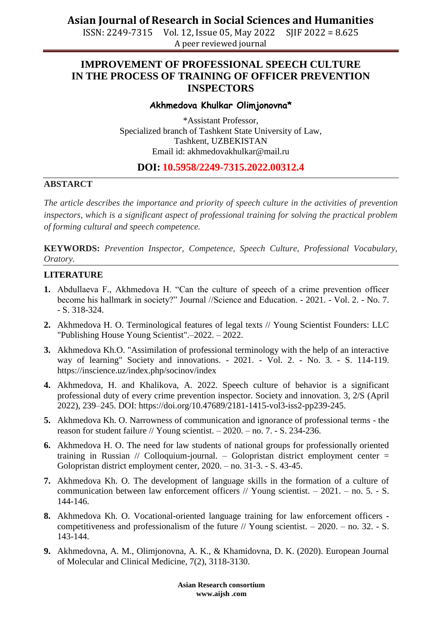ISSN: 2249-7315 Vol. 12, Issue 05, May 2022 SJIF 2022 = 8.625 A peer reviewed journal

## **IMPROVEMENT OF PROFESSIONAL SPEECH CULTURE IN THE PROCESS OF TRAINING OF OFFICER PREVENTION INSPECTORS**

#### **Akhmedova Khulkar Olimjonovna\***

\*Assistant Professor, Specialized branch of Tashkent State University of Law, Tashkent, UZBEKISTAN Email id: akhmedovakhulkar@mail.ru

## **DOI: 10.5958/2249-7315.2022.00312.4**

#### **ABSTARCT**

*The article describes the importance and priority of speech culture in the activities of prevention inspectors, which is a significant aspect of professional training for solving the practical problem of forming cultural and speech competence.*

**KEYWORDS:** *Prevention Inspector, Competence, Speech Culture, Professional Vocabulary, Oratory.*

### **LITERATURE**

- **1.** Abdullaeva F., Akhmedova H. "Can the culture of speech of a crime prevention officer become his hallmark in society?" Journal //Science and Education. - 2021. - Vol. 2. - No. 7. - S. 318-324.
- **2.** Akhmedova H. O. Terminological features of legal texts // Young Scientist Founders: LLC "Publishing House Young Scientist".–2022. – 2022.
- **3.** Akhmedova Kh.O. "Assimilation of professional terminology with the help of an interactive way of learning" Society and innovations. - 2021. - Vol. 2. - No. 3. - S. 114-119. https://inscience.uz/index.php/socinov/index
- **4.** Akhmedova, H. and Khalikova, A. 2022. Speech culture of behavior is a significant professional duty of every crime prevention inspector. Society and innovation. 3, 2/S (April 2022), 239–245. DOI: https://doi.org/10.47689/2181-1415-vol3-iss2-pp239-245.
- **5.** Akhmedova Kh. O. Narrowness of communication and ignorance of professional terms the reason for student failure // Young scientist.  $-2020$ .  $-$  no. 7.  $-$  S. 234-236.
- **6.** Akhmedova H. O. The need for law students of national groups for professionally oriented training in Russian  $//$  Colloquium-journal. – Golopristan district employment center  $=$ Golopristan district employment center, 2020. – no. 31-3. - S. 43-45.
- **7.** Akhmedova Kh. O. The development of language skills in the formation of a culture of communication between law enforcement officers // Young scientist. – 2021. – no. 5. - S. 144-146.
- **8.** Akhmedova Kh. O. Vocational-oriented language training for law enforcement officers competitiveness and professionalism of the future // Young scientist.  $-2020$ .  $-$  no. 32. - S. 143-144.
- **9.** Akhmedovna, A. M., Olimjonovna, A. K., & Khamidovna, D. K. (2020). European Journal of Molecular and Clinical Medicine, 7(2), 3118-3130.